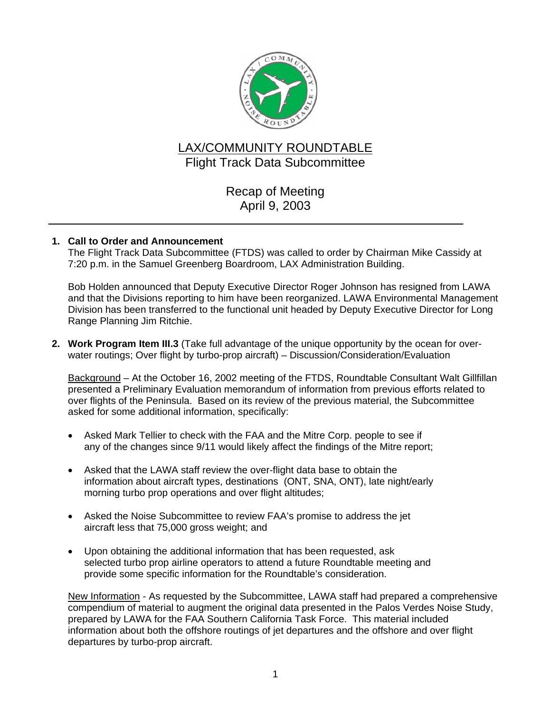

# LAX/COMMUNITY ROUNDTABLE Flight Track Data Subcommittee

## Recap of Meeting April 9, 2003

## **1. Call to Order and Announcement**

The Flight Track Data Subcommittee (FTDS) was called to order by Chairman Mike Cassidy at 7:20 p.m. in the Samuel Greenberg Boardroom, LAX Administration Building.

Bob Holden announced that Deputy Executive Director Roger Johnson has resigned from LAWA and that the Divisions reporting to him have been reorganized. LAWA Environmental Management Division has been transferred to the functional unit headed by Deputy Executive Director for Long Range Planning Jim Ritchie.

**2. Work Program Item III.3** (Take full advantage of the unique opportunity by the ocean for overwater routings; Over flight by turbo-prop aircraft) – Discussion/Consideration/Evaluation

Background – At the October 16, 2002 meeting of the FTDS, Roundtable Consultant Walt Gillfillan presented a Preliminary Evaluation memorandum of information from previous efforts related to over flights of the Peninsula. Based on its review of the previous material, the Subcommittee asked for some additional information, specifically:

- Asked Mark Tellier to check with the FAA and the Mitre Corp. people to see if any of the changes since 9/11 would likely affect the findings of the Mitre report;
- Asked that the LAWA staff review the over-flight data base to obtain the information about aircraft types, destinations (ONT, SNA, ONT), late night/early morning turbo prop operations and over flight altitudes;
- Asked the Noise Subcommittee to review FAA's promise to address the jet aircraft less that 75,000 gross weight; and
- Upon obtaining the additional information that has been requested, ask selected turbo prop airline operators to attend a future Roundtable meeting and provide some specific information for the Roundtable's consideration.

New Information - As requested by the Subcommittee, LAWA staff had prepared a comprehensive compendium of material to augment the original data presented in the Palos Verdes Noise Study, prepared by LAWA for the FAA Southern California Task Force. This material included information about both the offshore routings of jet departures and the offshore and over flight departures by turbo-prop aircraft.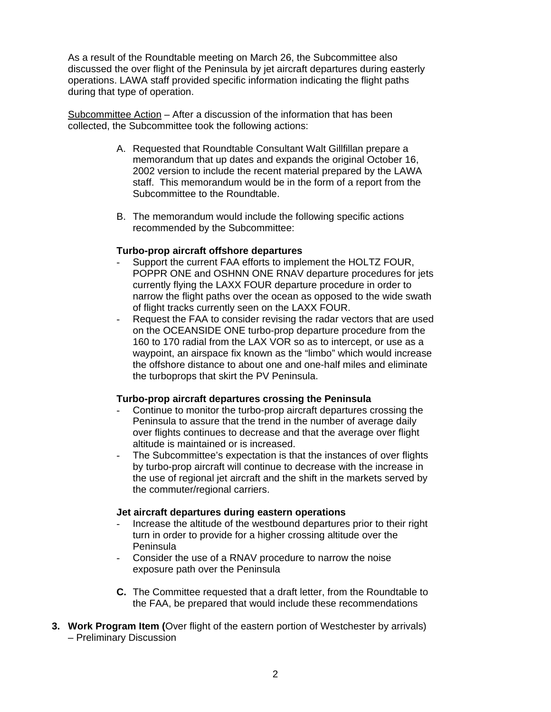As a result of the Roundtable meeting on March 26, the Subcommittee also discussed the over flight of the Peninsula by jet aircraft departures during easterly operations. LAWA staff provided specific information indicating the flight paths during that type of operation.

Subcommittee Action – After a discussion of the information that has been collected, the Subcommittee took the following actions:

- A. Requested that Roundtable Consultant Walt Gillfillan prepare a memorandum that up dates and expands the original October 16, 2002 version to include the recent material prepared by the LAWA staff. This memorandum would be in the form of a report from the Subcommittee to the Roundtable.
- B. The memorandum would include the following specific actions recommended by the Subcommittee:

## **Turbo-prop aircraft offshore departures**

- Support the current FAA efforts to implement the HOLTZ FOUR, POPPR ONE and OSHNN ONE RNAV departure procedures for jets currently flying the LAXX FOUR departure procedure in order to narrow the flight paths over the ocean as opposed to the wide swath of flight tracks currently seen on the LAXX FOUR.
- Request the FAA to consider revising the radar vectors that are used on the OCEANSIDE ONE turbo-prop departure procedure from the 160 to 170 radial from the LAX VOR so as to intercept, or use as a waypoint, an airspace fix known as the "limbo" which would increase the offshore distance to about one and one-half miles and eliminate the turboprops that skirt the PV Peninsula.

## **Turbo-prop aircraft departures crossing the Peninsula**

- Continue to monitor the turbo-prop aircraft departures crossing the Peninsula to assure that the trend in the number of average daily over flights continues to decrease and that the average over flight altitude is maintained or is increased.
- The Subcommittee's expectation is that the instances of over flights by turbo-prop aircraft will continue to decrease with the increase in the use of regional jet aircraft and the shift in the markets served by the commuter/regional carriers.

#### **Jet aircraft departures during eastern operations**

- Increase the altitude of the westbound departures prior to their right turn in order to provide for a higher crossing altitude over the Peninsula
- Consider the use of a RNAV procedure to narrow the noise exposure path over the Peninsula
- **C.** The Committee requested that a draft letter, from the Roundtable to the FAA, be prepared that would include these recommendations
- **3. Work Program Item (**Over flight of the eastern portion of Westchester by arrivals) – Preliminary Discussion